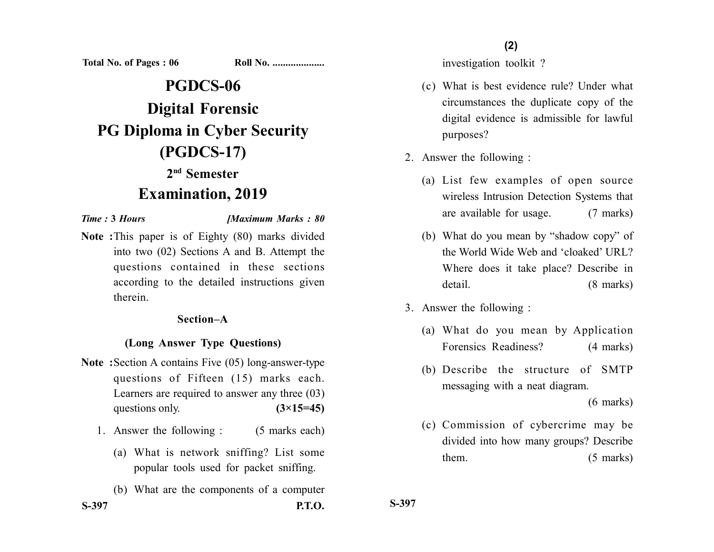**Total No. of Pages : 06 Roll No. ...................** 

# **PGDCS-06 Digital Forensic PG Diploma in Cyber Security (PGDCS-17) 2nd Semester**

## **Examination, 2019**

*Time :* **3** *Hours [Maximum Marks : 80*

**Note :**This paper is of Eighty (80) marks divided into two (02) Sections A and B. Attempt the questions contained in these sections according to the detailed instructions given therein.

#### **Section–A**

#### **(Long Answer Type Questions)**

- **Note :**Section A contains Five (05) long-answer-type questions of Fifteen (15) marks each. Learners are required to answer any three (03) questions only. **(3×15=45)** 
	- 1. Answer the following : (5 marks each)
		- (a) What is network sniffing? List some popular tools used for packet sniffing.
- (b) What are the components of a computer **S-397 P.T.O.**

#### **(2)**

investigation toolkit ?

- (c) What is best evidence rule? Under what circumstances the duplicate copy of the digital evidence is admissible for lawful purposes?
- 2. Answer the following :
	- (a) List few examples of open source wireless Intrusion Detection Systems that are available for usage. (7 marks)
	- (b) What do you mean by "shadow copy" of the World Wide Web and 'cloaked' URL? Where does it take place? Describe in detail. (8 marks)
- 3. Answer the following :
	- (a) What do you mean by Application Forensics Readiness? (4 marks)
	- (b) Describe the structure of SMTP messaging with a neat diagram.

(6 marks)

(c) Commission of cybercrime may be divided into how many groups? Describe them. (5 marks)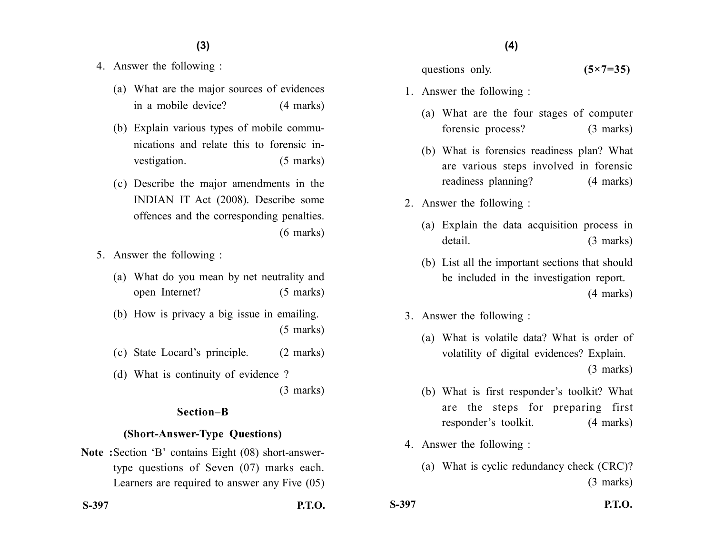### **(4)(3)**

- 4. Answer the following :
	- (a) What are the major sources of evidences in a mobile device? (4 marks)
	- (b) Explain various types of mobile communications and relate this to forensic investigation. (5 marks)
	- (c) Describe the major amendments in the INDIAN IT Act (2008). Describe some offences and the corresponding penalties. (6 marks)
- 5. Answer the following :
	- (a) What do you mean by net neutrality and open Internet? (5 marks)
	- (b) How is privacy a big issue in emailing. (5 marks)
	- (c) State Locard's principle. (2 marks)
	- (d) What is continuity of evidence ?

(3 marks)

#### **Section–B**

#### **(Short-Answer-Type Questions)**

**Note :**Section 'B' contains Eight (08) short-answertype questions of Seven (07) marks each. Learners are required to answer any Five (05)

- questions only. **(5×7=35)**
- 1. Answer the following :
	- (a) What are the four stages of computer forensic process? (3 marks)
	- (b) What is forensics readiness plan? What are various steps involved in forensic readiness planning? (4 marks)
- 2. Answer the following :
	- (a) Explain the data acquisition process in detail. (3 marks)
	- (b) List all the important sections that should be included in the investigation report. (4 marks)
- 3. Answer the following :
	- (a) What is volatile data? What is order of volatility of digital evidences? Explain. (3 marks)
	- (b) What is first responder's toolkit? What are the steps for preparing first responder's toolkit. (4 marks)
- 4. Answer the following :
	- (a) What is cyclic redundancy check (CRC)? (3 marks)

**S-397 P.T.O. S-397 P.T.O.**